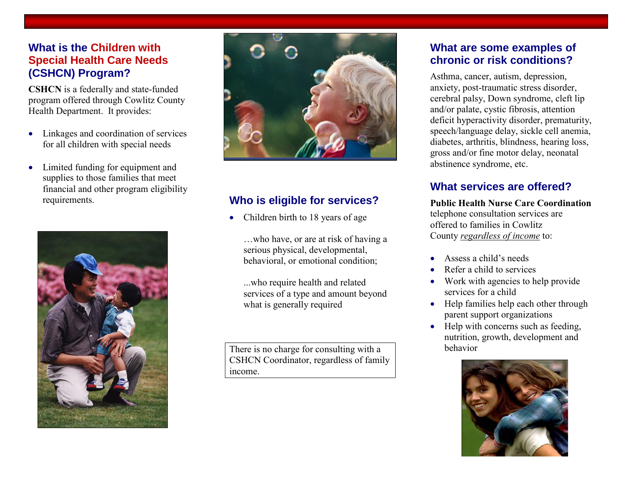## **What is the Children with Special Health Care Needs (CSHCN) Program?**

**CSHCN** is a federally and state-funded program offered through Cowlitz County Health Department. It provides:

- Linkages and coordination of services for all children with special needs
- Limited funding for equipment and supplies to those families that meet financial and other program eligibility





# requirements. **Who is eligible for services?**

Children birth to 18 years of age

…who have, or are at risk of having a serious physical, developmental, behavioral, or emotional condition;

...who require health and related services of a type and amount beyond what is generally required

There is no charge for consulting with a CSHCN Coordinator, regardless of family income.

### **What are some examples of chronic or risk conditions?**

Asthma, cancer, autism, depression, anxiety, post-traumatic stress disorder, cerebral palsy, Down syndrome, cleft lip and/or palate, cystic fibrosis, attention deficit hyperactivity disorder, prematurity, speech/language delay, sickle cell anemia, diabetes, arthritis, blindness, hearing loss, gross and/or fine motor delay, neonatal abstinence syndrome, etc.

## **What services are offered?**

**Public Health Nurse Care Coordination**  telephone consultation services are offered to families in Cowlitz County *regardless of income* to:

- Assess a child's needs
- Refer a child to services
- Work with agencies to help provide services for a child
- Help families help each other through parent support organizations
- $\bullet$  Help with concerns such as feeding. nutrition, growth, development and behavior